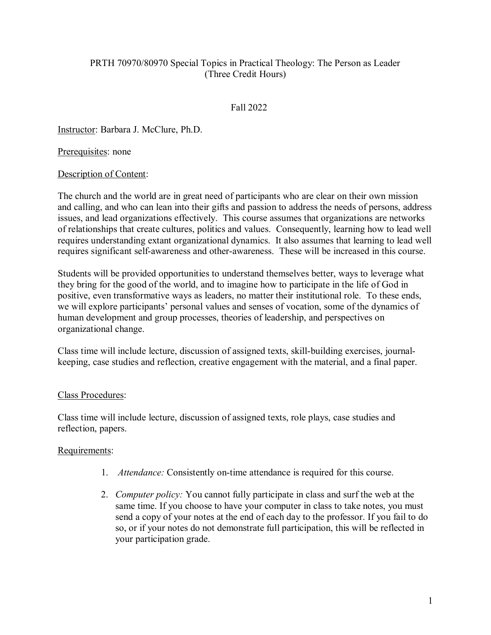# PRTH 70970/80970 Special Topics in Practical Theology: The Person as Leader (Three Credit Hours)

## Fall 2022

Instructor: Barbara J. McClure, Ph.D.

Prerequisites: none

#### Description of Content:

The church and the world are in great need of participants who are clear on their own mission and calling, and who can lean into their gifts and passion to address the needs of persons, address issues, and lead organizations effectively. This course assumes that organizations are networks of relationships that create cultures, politics and values. Consequently, learning how to lead well requires understanding extant organizational dynamics. It also assumes that learning to lead well requires significant self-awareness and other-awareness. These will be increased in this course.

Students will be provided opportunities to understand themselves better, ways to leverage what they bring for the good of the world, and to imagine how to participate in the life of God in positive, even transformative ways as leaders, no matter their institutional role. To these ends, we will explore participants' personal values and senses of vocation, some of the dynamics of human development and group processes, theories of leadership, and perspectives on organizational change.

Class time will include lecture, discussion of assigned texts, skill-building exercises, journalkeeping, case studies and reflection, creative engagement with the material, and a final paper.

## Class Procedures:

Class time will include lecture, discussion of assigned texts, role plays, case studies and reflection, papers.

## Requirements:

- 1. *Attendance:* Consistently on-time attendance is required for this course.
- 2. *Computer policy:* You cannot fully participate in class and surf the web at the same time. If you choose to have your computer in class to take notes, you must send a copy of your notes at the end of each day to the professor. If you fail to do so, or if your notes do not demonstrate full participation, this will be reflected in your participation grade.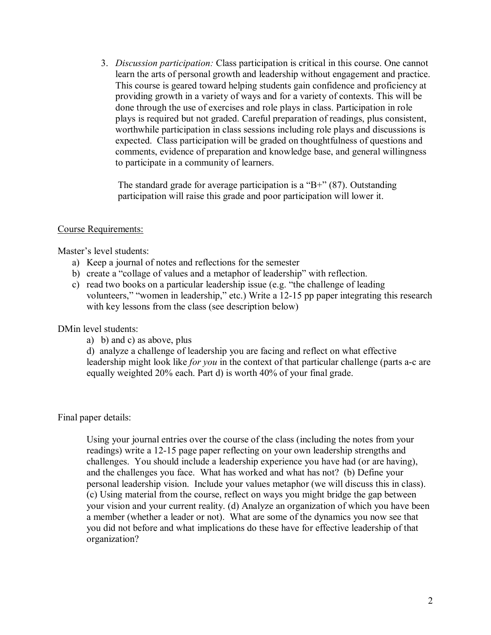3. *Discussion participation:* Class participation is critical in this course. One cannot learn the arts of personal growth and leadership without engagement and practice. This course is geared toward helping students gain confidence and proficiency at providing growth in a variety of ways and for a variety of contexts. This will be done through the use of exercises and role plays in class. Participation in role plays is required but not graded. Careful preparation of readings, plus consistent, worthwhile participation in class sessions including role plays and discussions is expected. Class participation will be graded on thoughtfulness of questions and comments, evidence of preparation and knowledge base, and general willingness to participate in a community of learners.

The standard grade for average participation is a "B+"  $(87)$ . Outstanding participation will raise this grade and poor participation will lower it.

#### Course Requirements:

Master's level students:

- a) Keep a journal of notes and reflections for the semester
- b) create a "collage of values and a metaphor of leadership" with reflection.
- c) read two books on a particular leadership issue (e.g. "the challenge of leading volunteers," "women in leadership," etc.) Write a 12-15 pp paper integrating this research with key lessons from the class (see description below)

DMin level students:

a) b) and c) as above, plus

d) analyze a challenge of leadership you are facing and reflect on what effective leadership might look like *for you* in the context of that particular challenge (parts a-c are equally weighted 20% each. Part d) is worth 40% of your final grade.

Final paper details:

Using your journal entries over the course of the class (including the notes from your readings) write a 12-15 page paper reflecting on your own leadership strengths and challenges. You should include a leadership experience you have had (or are having), and the challenges you face. What has worked and what has not? (b) Define your personal leadership vision. Include your values metaphor (we will discuss this in class). (c) Using material from the course, reflect on ways you might bridge the gap between your vision and your current reality. (d) Analyze an organization of which you have been a member (whether a leader or not). What are some of the dynamics you now see that you did not before and what implications do these have for effective leadership of that organization?